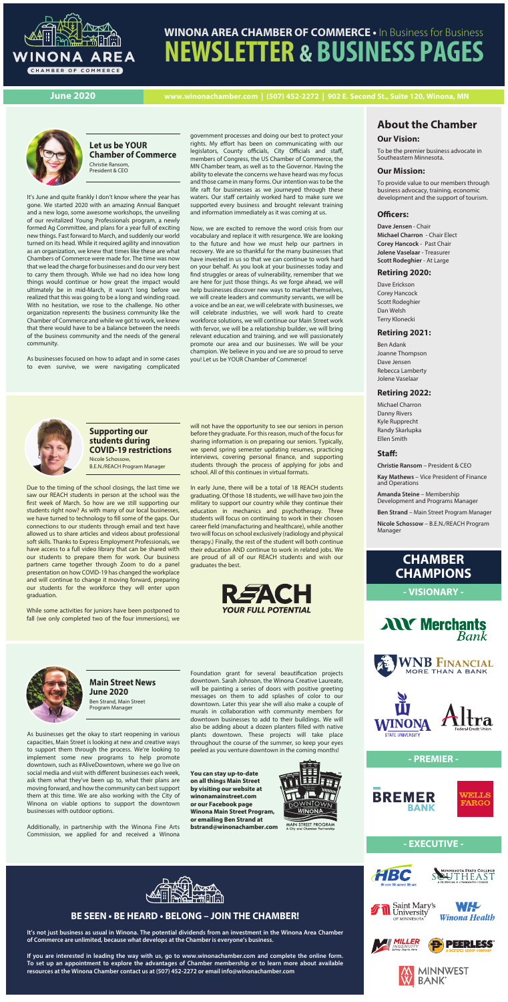

# **WINONA AREA CHAMBER OF COMMERCE •** In Business for Business **NEWSLETTER & BUSINESS PAGES**

**June 2020 www.winonachamber.com | (507) 452-2272 | 902 E. Second St., Suite 120, Winona, MN**



# **CHAMBER CHAMPIONS**

**- VISIONARY -**





### **- PREMIER -**





**- EXECUTIVE -**







# **About the Chamber**

#### **Our Vision:**

To be the premier business advocate in Southeastern Minnesota.

#### **Our Mission:**

To provide value to our members through business advocacy, training, economic development and the support of tourism.

#### **Officers:**

**Dave Jensen** - Chair **Michael Charron** - Chair Elect **Corey Hancock** - Past Chair **Jolene Vaselaar** - Treasurer **Scott Rodeghier** - At Large

#### **Retiring 2020:**

Dave Erickson Corey Hancock Scott Rodeghier Dan Welsh Terry Klonecki

#### **Retiring 2021:**

Ben Adank Joanne Thompson Dave Jensen Rebecca Lamberty Jolene Vaselaar

#### **Retiring 2022:**

Michael Charron Danny Rivers Kyle Rupprecht Randy Skarlupka Ellen Smith

#### Staff:

**Christie Ransom** – President & CEO

**Kay Mathews** – Vice President of Finance and Operations

**Amanda Steine** – Membership Development and Programs Manager

**Ben Strand** – Main Street Program Manager

**Nicole Schossow** – B.E.N./REACH Program Manager

#### **Let us be YOUR Chamber of Commerce** Christie Ransom, President & CEO

#### **Main Street News June 2020**

Ben Strand, Main Street Program Manager

As businesses get the okay to start reopening in various capacities, Main Street is looking at new and creative ways to support them through the process. We're looking to implement some new programs to help promote downtown, such as #AliveDowntown, where we go live on social media and visit with different businesses each week, ask them what they've been up to, what their plans are moving forward, and how the community can best support them at this time. We are also working with the City of Winona on viable options to support the downtown businesses with outdoor options.

Additionally, in partnership with the Winona Fine Arts Commission, we applied for and received a Winona

### **BE SEEN • BE HEARD • BELONG – JOIN THE CHAMBER!**

**It's not just business as usual in Winona. The potential dividends from an investment in the Winona Area Chamber of Commerce are unlimited, because what develops at the Chamber is everyone's business.**

**If you are interested in leading the way with us, go to www.winonachamber.com and complete the online form. To set up an appointment to explore the advantages of Chamber membership or to learn more about available resources at the Winona Chamber contact us at (507) 452-2272 or email info@winonachamber.com**









**Supporting our students during COVID-19 restrictions** Nicole Schossow, B.E.N./REACH Program Manager

Due to the timing of the school closings, the last time we saw our REACH students in person at the school was the first week of March. So how are we still supporting our students right now? As with many of our local businesses, we have turned to technology to fill some of the gaps. Our connections to our students through email and text have allowed us to share articles and videos about professional soft skills. Thanks to Express Employment Professionals, we have access to a full video library that can be shared with our students to prepare them for work. Our business partners came together through Zoom to do a panel presentation on how COVID-19 has changed the workplace and will continue to change it moving forward, preparing our students for the workforce they will enter upon graduation.

While some activities for juniors have been postponed to fall (we only completed two of the four immersions), we

will not have the opportunity to see our seniors in person before they graduate. For this reason, much of the focus for sharing information is on preparing our seniors. Typically, we spend spring semester updating resumes, practicing interviews, covering personal finance, and supporting students through the process of applying for jobs and school. All of this continues in virtual formats.

Foundation grant for several beautification projects downtown. Sarah Johnson, the Winona Creative Laureate, will be painting a series of doors with positive greeting messages on them to add splashes of color to our downtown. Later this year she will also make a couple of murals in collaboration with community members for downtown businesses to add to their buildings. We will also be adding about a dozen planters filled with native plants downtown. These projects will take place throughout the course of the summer, so keep your eyes peeled as you venture downtown in the coming months!

In early June, there will be a total of 18 REACH students graduating. Of those 18 students, we will have two join the military to support our country while they continue their education in mechanics and psychotherapy. Three students will focus on continuing to work in their chosen career field (manufacturing and healthcare), while another two will focus on school exclusively (radiology and physical therapy.) Finally, the rest of the student will both continue their education AND continue to work in related jobs. We are proud of all of our REACH students and wish our graduates the best.



It's June and quite frankly I don't know where the year has gone. We started 2020 with an amazing Annual Banquet and a new logo, some awesome workshops, the unveiling of our revitalized Young Professionals program, a newly formed Ag Committee, and plans for a year full of exciting new things. Fast forward to March, and suddenly our world turned on its head. While it required agility and innovation as an organization, we knew that times like these are what Chambers of Commerce were made for. The time was now that we lead the charge for businesses and do our very best to carry them through. While we had no idea how long things would continue or how great the impact would ultimately be in mid-March, it wasn't long before we realized that this was going to be a long and winding road. With no hesitation, we rose to the challenge. No other organization represents the business community like the Chamber of Commerce and while we got to work, we knew that there would have to be a balance between the needs of the business community and the needs of the general community.

As businesses focused on how to adapt and in some cases to even survive, we were navigating complicated

government processes and doing our best to protect your rights. My effort has been on communicating with our legislators, County officials, City Officials and staff, members of Congress, the US Chamber of Commerce, the MN Chamber team, as well as to the Governor. Having the ability to elevate the concerns we have heard was my focus and those came in many forms. Our intention was to be the life raft for businesses as we journeyed through these waters. Our staff certainly worked hard to make sure we supported every business and brought relevant training and information immediately as it was coming at us.

Now, we are excited to remove the word crisis from our vocabulary and replace it with resurgence. We are looking to the future and how we must help our partners in recovery. We are so thankful for the many businesses that have invested in us so that we can continue to work hard on your behalf. As you look at your businesses today and find struggles or areas of vulnerability, remember that we are here for just those things. As we forge ahead, we will help businesses discover new ways to market themselves, we will create leaders and community servants, we will be a voice and be an ear, we will celebrate with businesses, we will celebrate industries, we will work hard to create workforce solutions, we will continue our Main Street work with fervor, we will be a relationship builder, we will bring relevant education and training, and we will passionately promote our area and our businesses. We will be your champion. We believe in you and we are so proud to serve you! Let us be YOUR Chamber of Commerce!



**You can stay up-to-date on all things Main Street by visiting our website at winonamainstreet.com or our Facebook page Winona Main Street Program, or emailing Ben Strand at bstrand@winonachamber.com**



MAIN STREET PROGRAM